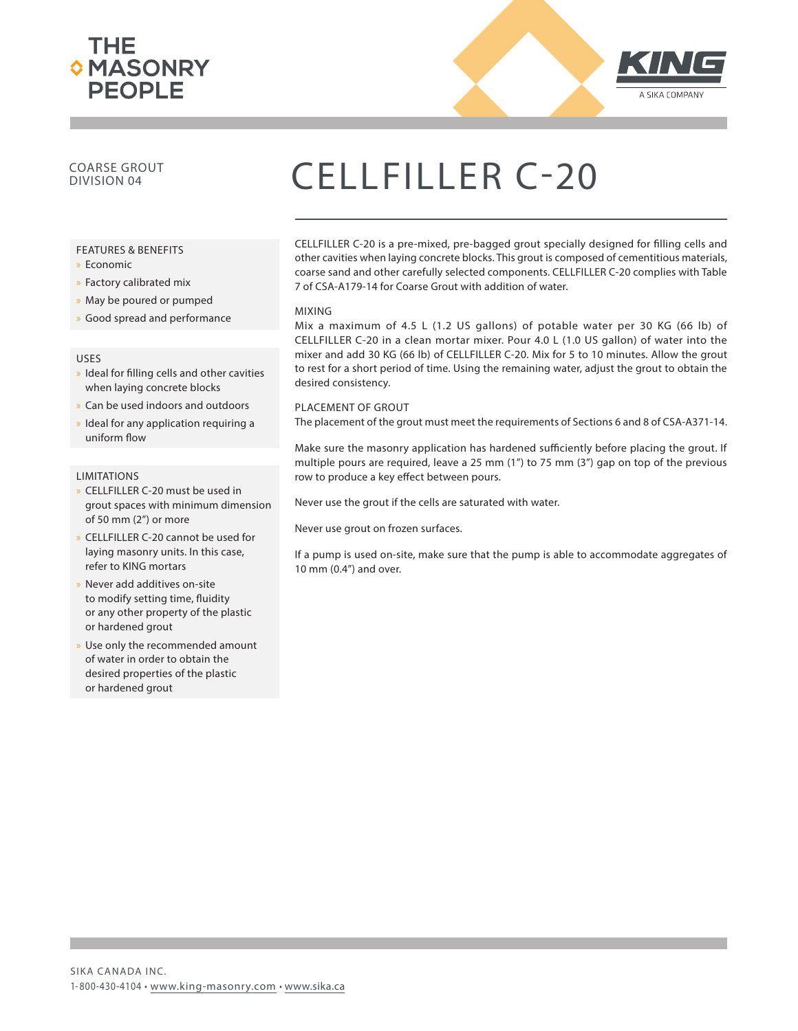



### COARSE GROUT<br>DIVISION 04

#### FEATURES & BENEFITS

- x Economic
- » Factory calibrated mix
- » May be poured or pumped
- » Good spread and performance

#### USES

- » Ideal for filling cells and other cavities when laying concrete blocks
- x Can be used indoors and outdoors
- Ideal for any application requiring a uniform flow

#### **LIMITATIONS**

- x CELLFILLER C-20 must be used in grout spaces with minimum dimension of 50 mm (2") or more
- x CELLFILLER C-20 cannot be used for laying masonry units. In this case, refer to KING mortars
- Never add additives on-site to modify setting time, fluidity or any other property of the plastic or hardened grout
- Use only the recommended amount of water in order to obtain the desired properties of the plastic or hardened grout

## CELLFILLER C-20

CELLFILLER C-20 is a pre-mixed, pre-bagged grout specially designed for filling cells and other cavities when laying concrete blocks. This grout is composed of cementitious materials, coarse sand and other carefully selected components. CELLFILLER C-20 complies with Table 7 of CSA-A179-14 for Coarse Grout with addition of water.

#### MIXING

Mix a maximum of 4.5 L (1.2 US gallons) of potable water per 30 KG (66 lb) of CELLFILLER C-20 in a clean mortar mixer. Pour 4.0 L (1.0 US gallon) of water into the mixer and add 30 KG (66 lb) of CELLFILLER C-20. Mix for 5 to 10 minutes. Allow the grout to rest for a short period of time. Using the remaining water, adjust the grout to obtain the desired consistency.

#### PLACEMENT OF GROUT

The placement of the grout must meet the requirements of Sections 6 and 8 of CSA-A371-14.

Make sure the masonry application has hardened sufficiently before placing the grout. If multiple pours are required, leave a 25 mm (1") to 75 mm (3") gap on top of the previous row to produce a key effect between pours.

Never use the grout if the cells are saturated with water.

Never use grout on frozen surfaces.

If a pump is used on-site, make sure that the pump is able to accommodate aggregates of 10 mm (0.4") and over.